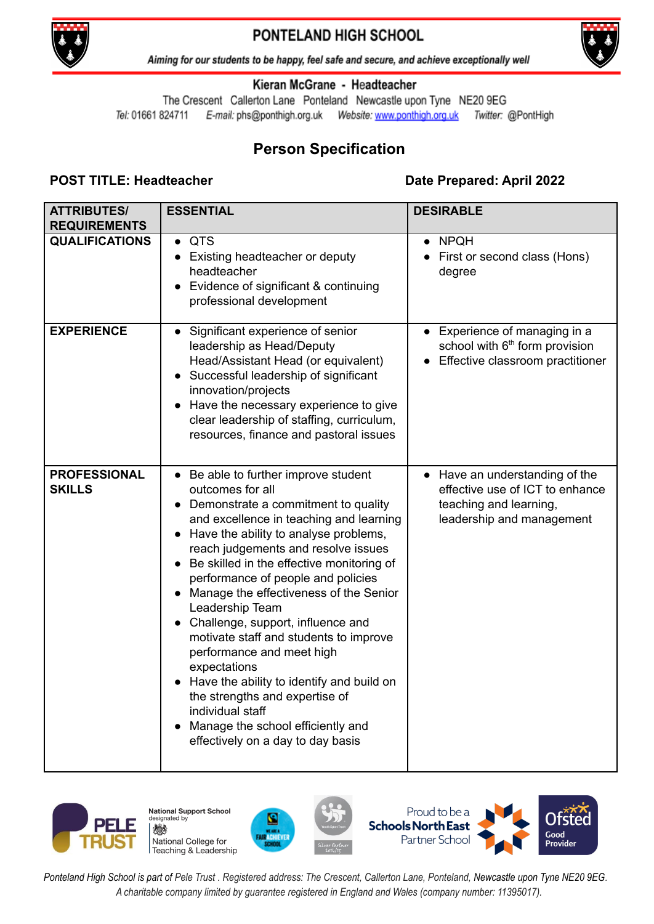

## PONTELAND HIGH SCHOOL



Aiming for our students to be happy, feel safe and secure, and achieve exceptionally well

### Kieran McGrane - Headteacher

The Crescent Callerton Lane Ponteland Newcastle upon Tyne NE20 9EG Tel: 01661 824711 Twitter: @PontHigh

# **Person Specification**

## **POST TITLE: Headteacher Date Prepared: April 2022**

| <b>ATTRIBUTES/</b><br><b>REQUIREMENTS</b> | <b>ESSENTIAL</b>                                                                                                                                                                                                                                                                                                                                                                                                                                                                                                                                                                                                                                                                  | <b>DESIRABLE</b>                                                                                                         |
|-------------------------------------------|-----------------------------------------------------------------------------------------------------------------------------------------------------------------------------------------------------------------------------------------------------------------------------------------------------------------------------------------------------------------------------------------------------------------------------------------------------------------------------------------------------------------------------------------------------------------------------------------------------------------------------------------------------------------------------------|--------------------------------------------------------------------------------------------------------------------------|
| <b>QUALIFICATIONS</b>                     | <b>QTS</b><br>$\bullet$<br>Existing headteacher or deputy<br>headteacher<br>Evidence of significant & continuing<br>professional development                                                                                                                                                                                                                                                                                                                                                                                                                                                                                                                                      | <b>NPQH</b><br>First or second class (Hons)<br>degree                                                                    |
| <b>EXPERIENCE</b>                         | Significant experience of senior<br>leadership as Head/Deputy<br>Head/Assistant Head (or equivalent)<br>Successful leadership of significant<br>innovation/projects<br>Have the necessary experience to give<br>clear leadership of staffing, curriculum,<br>resources, finance and pastoral issues                                                                                                                                                                                                                                                                                                                                                                               | • Experience of managing in a<br>school with 6 <sup>th</sup> form provision<br>Effective classroom practitioner          |
| <b>PROFESSIONAL</b><br><b>SKILLS</b>      | Be able to further improve student<br>outcomes for all<br>Demonstrate a commitment to quality<br>and excellence in teaching and learning<br>Have the ability to analyse problems,<br>reach judgements and resolve issues<br>Be skilled in the effective monitoring of<br>performance of people and policies<br>Manage the effectiveness of the Senior<br>Leadership Team<br>Challenge, support, influence and<br>motivate staff and students to improve<br>performance and meet high<br>expectations<br>Have the ability to identify and build on<br>the strengths and expertise of<br>individual staff<br>Manage the school efficiently and<br>effectively on a day to day basis | • Have an understanding of the<br>effective use of ICT to enhance<br>teaching and learning,<br>leadership and management |



**National Support School** designated by 燃 National College for Teaching & Leadership







Ponteland High School is part of Pele Trust. Registered address: The Crescent, Callerton Lane, Ponteland, Newcastle upon Tyne NE20 9EG. *A charitable company limited by guarantee registered in England and Wales (company number: 11395017).*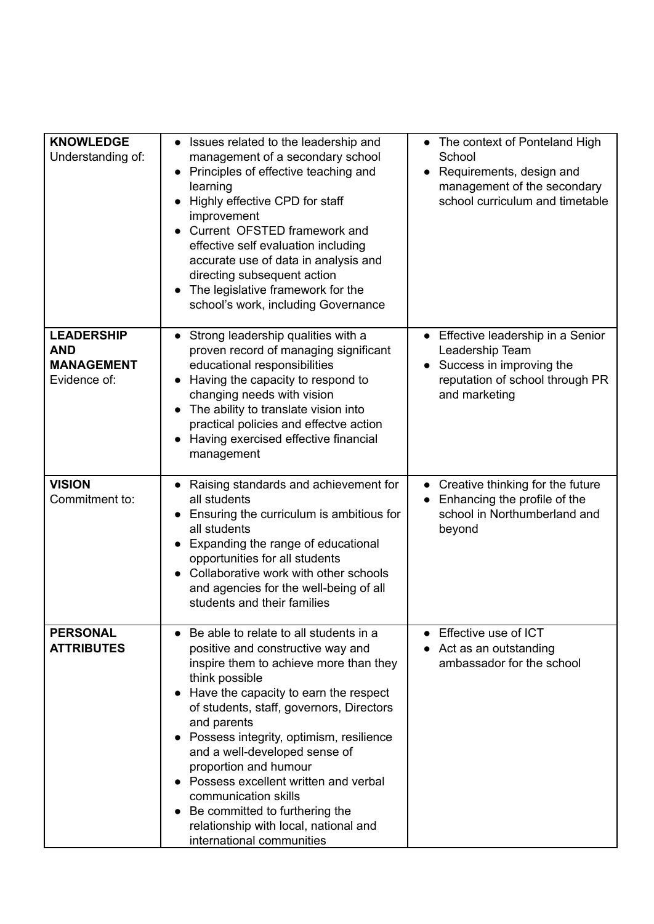| <b>KNOWLEDGE</b><br>Understanding of:                                | Issues related to the leadership and<br>management of a secondary school<br>Principles of effective teaching and<br>learning<br>Highly effective CPD for staff<br>improvement<br>Current OFSTED framework and<br>effective self evaluation including<br>accurate use of data in analysis and<br>directing subsequent action<br>The legislative framework for the<br>school's work, including Governance                                                                                                                  | The context of Ponteland High<br>School<br>Requirements, design and<br>management of the secondary<br>school curriculum and timetable |
|----------------------------------------------------------------------|--------------------------------------------------------------------------------------------------------------------------------------------------------------------------------------------------------------------------------------------------------------------------------------------------------------------------------------------------------------------------------------------------------------------------------------------------------------------------------------------------------------------------|---------------------------------------------------------------------------------------------------------------------------------------|
| <b>LEADERSHIP</b><br><b>AND</b><br><b>MANAGEMENT</b><br>Evidence of: | Strong leadership qualities with a<br>proven record of managing significant<br>educational responsibilities<br>Having the capacity to respond to<br>changing needs with vision<br>The ability to translate vision into<br>practical policies and effectve action<br>Having exercised effective financial<br>management                                                                                                                                                                                                   | Effective leadership in a Senior<br>Leadership Team<br>Success in improving the<br>reputation of school through PR<br>and marketing   |
| <b>VISION</b><br>Commitment to:                                      | Raising standards and achievement for<br>all students<br>Ensuring the curriculum is ambitious for<br>all students<br>Expanding the range of educational<br>opportunities for all students<br>Collaborative work with other schools<br>and agencies for the well-being of all<br>students and their families                                                                                                                                                                                                              | Creative thinking for the future<br>Enhancing the profile of the<br>school in Northumberland and<br>beyond                            |
| <b>PERSONAL</b><br><b>ATTRIBUTES</b>                                 | Be able to relate to all students in a<br>positive and constructive way and<br>inspire them to achieve more than they<br>think possible<br>Have the capacity to earn the respect<br>of students, staff, governors, Directors<br>and parents<br>Possess integrity, optimism, resilience<br>and a well-developed sense of<br>proportion and humour<br>Possess excellent written and verbal<br>communication skills<br>Be committed to furthering the<br>relationship with local, national and<br>international communities | • Effective use of ICT<br>Act as an outstanding<br>ambassador for the school                                                          |